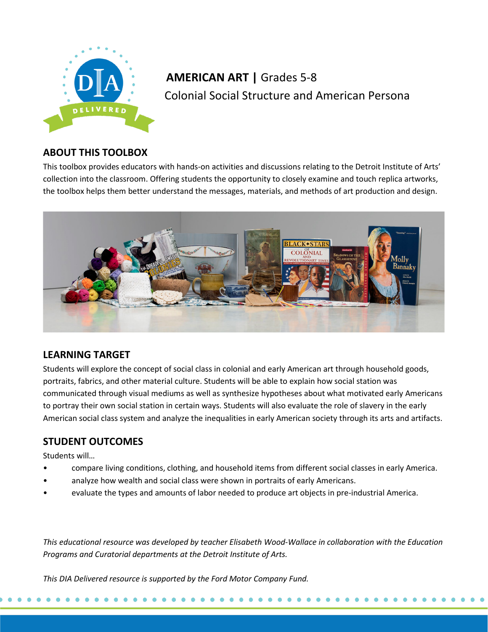

# **AMERICAN ART |** Grades 5-8 Colonial Social Structure and American Persona

# **ABOUT THIS TOOLBOX**

This toolbox provides educators with hands-on activities and discussions relating to the Detroit Institute of Arts' collection into the classroom. Offering students the opportunity to closely examine and touch replica artworks, the toolbox helps them better understand the messages, materials, and methods of art production and design.



# **LEARNING TARGET**

Students will explore the concept of social class in colonial and early American art through household goods, portraits, fabrics, and other material culture. Students will be able to explain how social station was communicated through visual mediums as well as synthesize hypotheses about what motivated early Americans to portray their own social station in certain ways. Students will also evaluate the role of slavery in the early American social class system and analyze the inequalities in early American society through its arts and artifacts.

# **STUDENT OUTCOMES**

Students will…

- compare living conditions, clothing, and household items from different social classes in early America.
- analyze how wealth and social class were shown in portraits of early Americans.
- evaluate the types and amounts of labor needed to produce art objects in pre-industrial America.

*This educational resource was developed by teacher Elisabeth Wood-Wallace in collaboration with the Education Programs and Curatorial departments at the Detroit Institute of Arts.*

*This DIA Delivered resource is supported by the Ford Motor Company Fund.*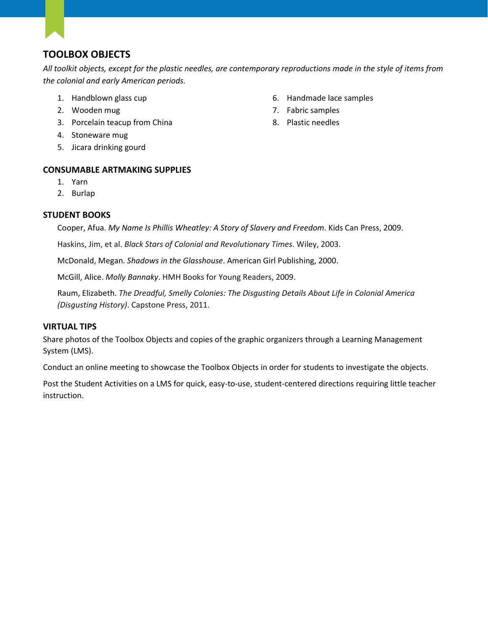# **TOOLBOX OBJECTS**

*All toolkit objects, except for the plastic needles, are contemporary reproductions made in the style of items from the colonial and early American periods.*

- 1. Handblown glass cup
- 2. Wooden mug
- 3. Porcelain teacup from China
- 4. Stoneware mug
- 5. Jicara drinking gourd

# **CONSUMABLE ARTMAKING SUPPLIES**

- 1. Yarn
- 2. Burlap

# **STUDENT BOOKS**

Cooper, Afua. *My Name Is Phillis Wheatley: A Story of Slavery and Freedom*. Kids Can Press, 2009.

Haskins, Jim, et al. *Black Stars of Colonial and Revolutionary Times*. Wiley, 2003.

McDonald, Megan. *Shadows in the Glasshouse*. American Girl Publishing, 2000.

McGill, Alice. *Molly Bannaky*. HMH Books for Young Readers, 2009.

Raum, Elizabeth. *The Dreadful, Smelly Colonies: The Disgusting Details About Life in Colonial America (Disgusting History)*. Capstone Press, 2011.

# **VIRTUAL TIPS**

Share photos of the Toolbox Objects and copies of the graphic organizers through a Learning Management System (LMS).

Conduct an online meeting to showcase the Toolbox Objects in order for students to investigate the objects.

Post the Student Activities on a LMS for quick, easy-to-use, student-centered directions requiring little teacher instruction.

- 6. Handmade lace samples
- 7. Fabric samples
- 8. Plastic needles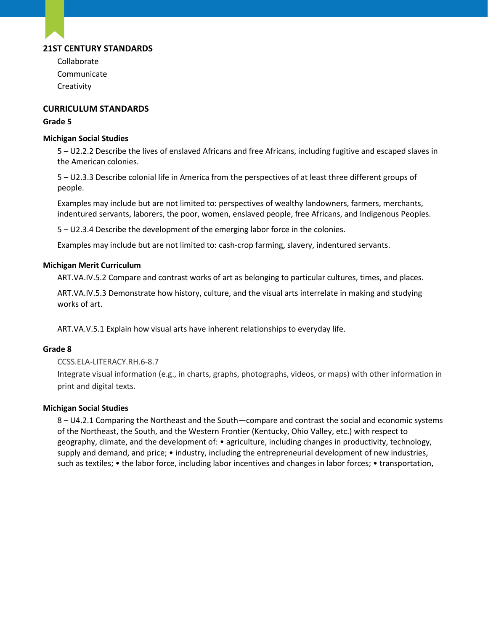# **21ST CENTURY STANDARDS**

Collaborate Communicate **Creativity** 

## **CURRICULUM STANDARDS**

#### **Grade 5**

#### **Michigan Social Studies**

5 – U2.2.2 Describe the lives of enslaved Africans and free Africans, including fugitive and escaped slaves in the American colonies.

5 – U2.3.3 Describe colonial life in America from the perspectives of at least three different groups of people.

Examples may include but are not limited to: perspectives of wealthy landowners, farmers, merchants, indentured servants, laborers, the poor, women, enslaved people, free Africans, and Indigenous Peoples.

5 – U2.3.4 Describe the development of the emerging labor force in the colonies.

Examples may include but are not limited to: cash-crop farming, slavery, indentured servants.

#### **Michigan Merit Curriculum**

ART.VA.IV.5.2 Compare and contrast works of art as belonging to particular cultures, times, and places.

ART.VA.IV.5.3 Demonstrate how history, culture, and the visual arts interrelate in making and studying works of art.

ART.VA.V.5.1 Explain how visual arts have inherent relationships to everyday life.

### **Grade 8**

### [CCSS.ELA-LITERACY.RH.6-8.7](http://www.corestandards.org/ELA-Literacy/RH/6-8/7/)

Integrate visual information (e.g., in charts, graphs, photographs, videos, or maps) with other information in print and digital texts.

### **Michigan Social Studies**

8 – U4.2.1 Comparing the Northeast and the South—compare and contrast the social and economic systems of the Northeast, the South, and the Western Frontier (Kentucky, Ohio Valley, etc.) with respect to geography, climate, and the development of: • agriculture, including changes in productivity, technology, supply and demand, and price; • industry, including the entrepreneurial development of new industries, such as textiles; • the labor force, including labor incentives and changes in labor forces; • transportation,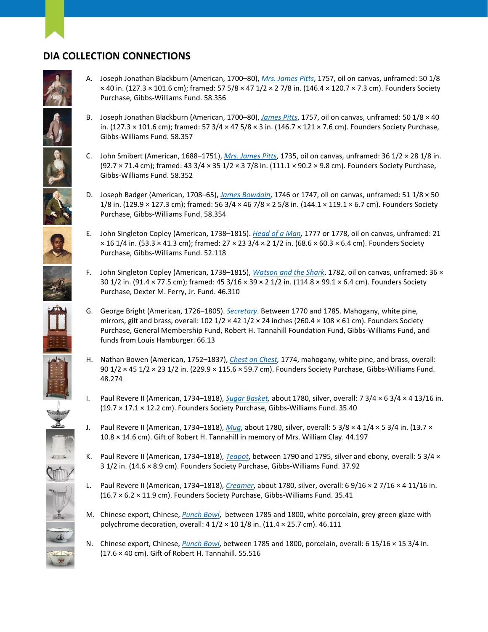# **DIA COLLECTION CONNECTIONS**

Purchase, Gibbs-Williams Fund. 58.354

Purchase, Gibbs-Williams Fund. 52.118

Purchase, Dexter M. Ferry, Jr. Fund. 46.310

funds from Louis Hamburger. 66.13



- A. Joseph Jonathan Blackburn (American, 1700–80), *[Mrs. James Pitts](https://www.dia.org/art/collection/object/mrs-james-pitts-34837)*, 1757, oil on canvas, unframed: 50 1/8 × 40 in. (127.3 × 101.6 cm); framed: 57 5/8 × 47 1/2 × 2 7/8 in. (146.4 × 120.7 × 7.3 cm). Founders Society Purchase, Gibbs-Williams Fund. 58.356
- B. Joseph Jonathan Blackburn (American, 1700–80), *[James Pitts](https://www.dia.org/art/collection/object/james-pitts-34836)*, 1757, oil on canvas, unframed: 50 1/8 × 40 in. (127.3 × 101.6 cm); framed: 57 3/4 × 47 5/8 × 3 in. (146.7 × 121 × 7.6 cm). Founders Society Purchase, Gibbs-Williams Fund. 58.357
	- C. John Smibert (American, 1688–1751), *[Mrs. James Pitts](https://www.dia.org/art/collection/object/mrs-james-pitts-61767)*, 1735, oil on canvas, unframed: 36 1/2 × 28 1/8 in. (92.7 × 71.4 cm); framed: 43 3/4 × 35 1/2 × 3 7/8 in. (111.1 × 90.2 × 9.8 cm). Founders Society Purchase, Gibbs-Williams Fund. 58.352

D. Joseph Badger (American, 1708–65), *[James Bowdoin](https://www.dia.org/art/collection/object/james-bowdoin-33453)*, 1746 or 1747, oil on canvas, unframed: 51 1/8 × 50 1/8 in. (129.9 × 127.3 cm); framed: 56 3/4 × 46 7/8 × 2 5/8 in. (144.1 × 119.1 × 6.7 cm). Founders Society

E. John Singleton Copley (American, 1738–1815). *[Head of a Man,](https://www.dia.org/art/collection/object/head-negro-41297)* 1777 or 1778, oil on canvas, unframed: 21 × 16 1/4 in. (53.3 × 41.3 cm); framed: 27 × 23 3/4 × 2 1/2 in. (68.6 × 60.3 × 6.4 cm). Founders Society

F. John Singleton Copley (American, 1738–1815), *[Watson and the Shark](https://www.dia.org/art/collection/object/watson-and-shark-41300)*, 1782, oil on canvas, unframed: 36 × 30 1/2 in. (91.4 × 77.5 cm); framed: 45 3/16 × 39 × 2 1/2 in. (114.8 × 99.1 × 6.4 cm). Founders Society

G. George Bright (American, 1726–1805). *[Secretary](https://www.dia.org/art/collection/object/secretary-35468)*. Between 1770 and 1785. Mahogany, white pine, mirrors, gilt and brass, overall: 102  $1/2 \times 42$   $1/2 \times 24$  inches (260.4  $\times$  108  $\times$  61 cm). Founders Society Purchase, General Membership Fund, Robert H. Tannahill Foundation Fund, Gibbs-Williams Fund, and

(19.7 × 17.1 × 12.2 cm). Founders Society Purchase, Gibbs-Williams Fund. 35.40

10.8 × 14.6 cm). Gift of Robert H. Tannahill in memory of Mrs. William Clay. 44.197













K. Paul Revere II (American, 1734–1818), *[Teapot](https://www.dia.org/art/collection/object/teapot-58318)*, between 1790 and 1795, silver and ebony, overall: 5 3/4 × 3 1/2 in. (14.6 × 8.9 cm). Founders Society Purchase, Gibbs-Williams Fund. 37.92

J. Paul Revere II (American, 1734–1818), *[Mug](https://www.dia.org/art/collection/object/mug-58320)*, about 1780, silver, overall: 5 3/8 × 4 1/4 × 5 3/4 in. (13.7 ×

90 1/2 × 45 1/2 × 23 1/2 in. (229.9 × 115.6 × 59.7 cm). Founders Society Purchase, Gibbs-Williams Fund.

- L. Paul Revere II (American, 1734–1818), *[Creamer](https://www.dia.org/art/collection/object/creamer-58323)*, about 1780, silver, overall: 6 9/16 × 2 7/16 × 4 11/16 in. (16.7 × 6.2 × 11.9 cm). Founders Society Purchase, Gibbs-Williams Fund. 35.41
- M. Chinese export, Chinese, *[Punch Bowl](https://www.dia.org/art/collection/object/punch-bowl-37643)*, between 1785 and 1800, white porcelain, grey-green glaze with polychrome decoration, overall:  $4 \frac{1}{2} \times 10 \frac{1}{8}$  in. (11.4  $\times$  25.7 cm). 46.111
- N. Chinese export, Chinese, *[Punch Bowl](https://www.dia.org/art/collection/object/punch-bowl-37636)*, between 1785 and 1800, porcelain, overall: 6 15/16 × 15 3/4 in. (17.6 × 40 cm). Gift of Robert H. Tannahill. 55.516









48.274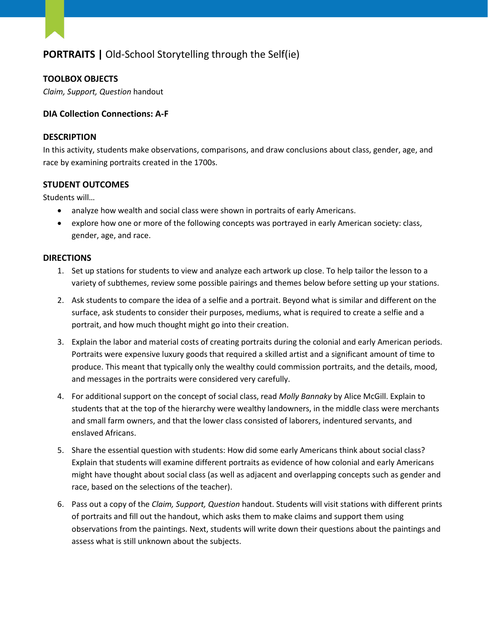# **PORTRAITS |** Old-School Storytelling through the Self(ie)

# **TOOLBOX OBJECTS**

*Claim, Support, Question* handout

## **DIA Collection Connections: A-F**

#### **DESCRIPTION**

In this activity, students make observations, comparisons, and draw conclusions about class, gender, age, and race by examining portraits created in the 1700s.

### **STUDENT OUTCOMES**

Students will…

- analyze how wealth and social class were shown in portraits of early Americans.
- explore how one or more of the following concepts was portrayed in early American society: class, gender, age, and race.

### **DIRECTIONS**

- 1. Set up stations for students to view and analyze each artwork up close. To help tailor the lesson to a variety of subthemes, review some possible pairings and themes below before setting up your stations.
- 2. Ask students to compare the idea of a selfie and a portrait. Beyond what is similar and different on the surface, ask students to consider their purposes, mediums, what is required to create a selfie and a portrait, and how much thought might go into their creation.
- 3. Explain the labor and material costs of creating portraits during the colonial and early American periods. Portraits were expensive luxury goods that required a skilled artist and a significant amount of time to produce. This meant that typically only the wealthy could commission portraits, and the details, mood, and messages in the portraits were considered very carefully.
- 4. For additional support on the concept of social class, read *Molly Bannaky* by Alice McGill. Explain to students that at the top of the hierarchy were wealthy landowners, in the middle class were merchants and small farm owners, and that the lower class consisted of laborers, indentured servants, and enslaved Africans.
- 5. Share the essential question with students: How did some early Americans think about social class? Explain that students will examine different portraits as evidence of how colonial and early Americans might have thought about social class (as well as adjacent and overlapping concepts such as gender and race, based on the selections of the teacher).
- 6. Pass out a copy of the *Claim, Support, Question* handout. Students will visit stations with different prints of portraits and fill out the handout, which asks them to make claims and support them using observations from the paintings. Next, students will write down their questions about the paintings and assess what is still unknown about the subjects.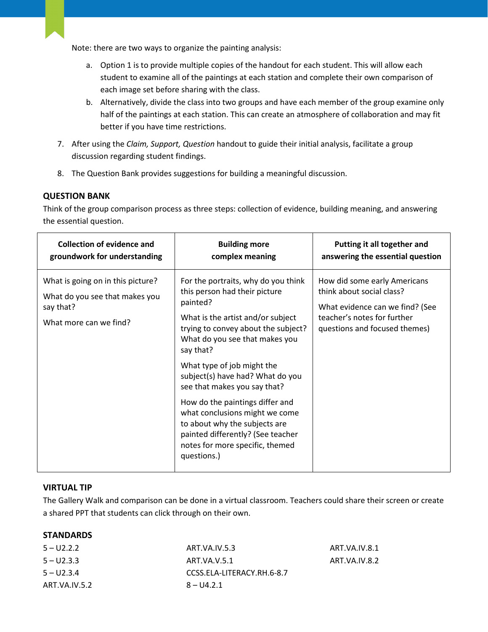Note: there are two ways to organize the painting analysis:

- a. Option 1 is to provide multiple copies of the handout for each student. This will allow each student to examine all of the paintings at each station and complete their own comparison of each image set before sharing with the class.
- b. Alternatively, divide the class into two groups and have each member of the group examine only half of the paintings at each station. This can create an atmosphere of collaboration and may fit better if you have time restrictions.
- 7. After using the *Claim, Support, Question* handout to guide their initial analysis, facilitate a group discussion regarding student findings.
- 8. The Question Bank provides suggestions for building a meaningful discussion.

# **QUESTION BANK**

Think of the group comparison process as three steps: collection of evidence, building meaning, and answering the essential question.

| What is going on in this picture?<br>For the portraits, why do you think<br>How did some early Americans<br>this person had their picture<br>think about social class?<br>What do you see that makes you                                                                                                                                                                                                                                                                                                                                                         | <b>Collection of evidence and</b><br>groundwork for understanding | <b>Building more</b><br>complex meaning | Putting it all together and<br>answering the essential question |
|------------------------------------------------------------------------------------------------------------------------------------------------------------------------------------------------------------------------------------------------------------------------------------------------------------------------------------------------------------------------------------------------------------------------------------------------------------------------------------------------------------------------------------------------------------------|-------------------------------------------------------------------|-----------------------------------------|-----------------------------------------------------------------|
| say that?<br>What evidence can we find? (See<br>teacher's notes for further<br>What is the artist and/or subject<br>What more can we find?<br>trying to convey about the subject?<br>questions and focused themes)<br>What do you see that makes you<br>say that?<br>What type of job might the<br>subject(s) have had? What do you<br>see that makes you say that?<br>How do the paintings differ and<br>what conclusions might we come<br>to about why the subjects are<br>painted differently? (See teacher<br>notes for more specific, themed<br>questions.) |                                                                   | painted?                                |                                                                 |

### **VIRTUAL TIP**

The Gallery Walk and comparison can be done in a virtual classroom. Teachers could share their screen or create a shared PPT that students can click through on their own.

# **STANDARDS**

| $5 - 02.2.2$  | ART.VA.IV.5.3              | ART.VA.IV.8.1 |
|---------------|----------------------------|---------------|
| $5 - U2.3.3$  | ART.VA.V.5.1               | ART.VA.IV.8.2 |
| $5 - U2.3.4$  | CCSS.ELA-LITERACY.RH.6-8.7 |               |
| ART.VA.IV.5.2 | $8 - 114.2.1$              |               |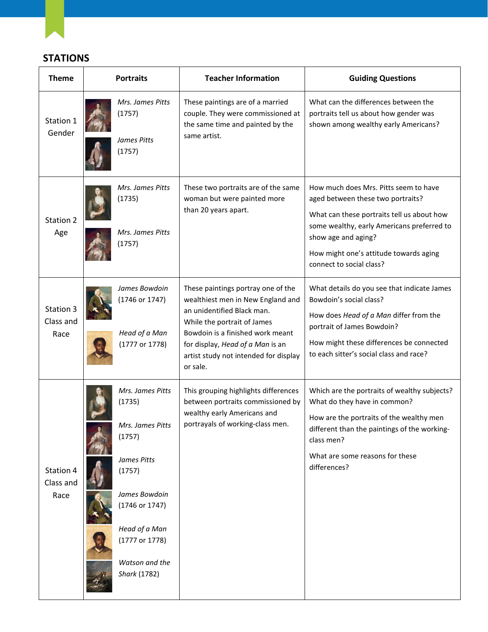**STATIONS**

| <b>Theme</b>                   | <b>Portraits</b>                                                                                                                                                                          | <b>Teacher Information</b>                                                                                                                                                                                                                                        | <b>Guiding Questions</b>                                                                                                                                                                                                                                            |
|--------------------------------|-------------------------------------------------------------------------------------------------------------------------------------------------------------------------------------------|-------------------------------------------------------------------------------------------------------------------------------------------------------------------------------------------------------------------------------------------------------------------|---------------------------------------------------------------------------------------------------------------------------------------------------------------------------------------------------------------------------------------------------------------------|
| Station 1<br>Gender            | Mrs. James Pitts<br>(1757)<br>James Pitts<br>(1757)                                                                                                                                       | These paintings are of a married<br>couple. They were commissioned at<br>the same time and painted by the<br>same artist.                                                                                                                                         | What can the differences between the<br>portraits tell us about how gender was<br>shown among wealthy early Americans?                                                                                                                                              |
| Station 2<br>Age               | Mrs. James Pitts<br>(1735)<br>Mrs. James Pitts<br>(1757)                                                                                                                                  | These two portraits are of the same<br>woman but were painted more<br>than 20 years apart.                                                                                                                                                                        | How much does Mrs. Pitts seem to have<br>aged between these two portraits?<br>What can these portraits tell us about how<br>some wealthy, early Americans preferred to<br>show age and aging?<br>How might one's attitude towards aging<br>connect to social class? |
| Station 3<br>Class and<br>Race | James Bowdoin<br>(1746 or 1747)<br>Head of a Man<br>(1777 or 1778)                                                                                                                        | These paintings portray one of the<br>wealthiest men in New England and<br>an unidentified Black man.<br>While the portrait of James<br>Bowdoin is a finished work meant<br>for display, Head of a Man is an<br>artist study not intended for display<br>or sale. | What details do you see that indicate James<br>Bowdoin's social class?<br>How does Head of a Man differ from the<br>portrait of James Bowdoin?<br>How might these differences be connected<br>to each sitter's social class and race?                               |
| Station 4<br>Class and<br>Race | Mrs. James Pitts<br>(1735)<br>Mrs. James Pitts<br>(1757)<br>James Pitts<br>(1757)<br>James Bowdoin<br>(1746 or 1747)<br>Head of a Man<br>(1777 or 1778)<br>Watson and the<br>Shark (1782) | This grouping highlights differences<br>between portraits commissioned by<br>wealthy early Americans and<br>portrayals of working-class men.                                                                                                                      | Which are the portraits of wealthy subjects?<br>What do they have in common?<br>How are the portraits of the wealthy men<br>different than the paintings of the working-<br>class men?<br>What are some reasons for these<br>differences?                           |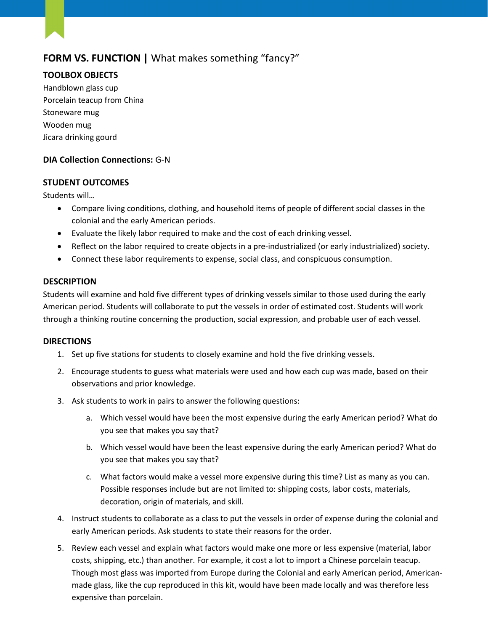# **FORM VS. FUNCTION |** What makes something "fancy?"

# **TOOLBOX OBJECTS**

Handblown glass cup Porcelain teacup from China Stoneware mug Wooden mug Jicara drinking gourd

# **DIA Collection Connections:** G-N

# **STUDENT OUTCOMES**

Students will…

- Compare living conditions, clothing, and household items of people of different social classes in the colonial and the early American periods.
- Evaluate the likely labor required to make and the cost of each drinking vessel.
- Reflect on the labor required to create objects in a pre-industrialized (or early industrialized) society.
- Connect these labor requirements to expense, social class, and conspicuous consumption.

### **DESCRIPTION**

Students will examine and hold five different types of drinking vessels similar to those used during the early American period. Students will collaborate to put the vessels in order of estimated cost. Students will work through a thinking routine concerning the production, social expression, and probable user of each vessel.

### **DIRECTIONS**

- 1. Set up five stations for students to closely examine and hold the five drinking vessels.
- 2. Encourage students to guess what materials were used and how each cup was made, based on their observations and prior knowledge.
- 3. Ask students to work in pairs to answer the following questions:
	- a. Which vessel would have been the most expensive during the early American period? What do you see that makes you say that?
	- b. Which vessel would have been the least expensive during the early American period? What do you see that makes you say that?
	- c. What factors would make a vessel more expensive during this time? List as many as you can. Possible responses include but are not limited to: shipping costs, labor costs, materials, decoration, origin of materials, and skill.
- 4. Instruct students to collaborate as a class to put the vessels in order of expense during the colonial and early American periods. Ask students to state their reasons for the order.
- 5. Review each vessel and explain what factors would make one more or less expensive (material, labor costs, shipping, etc.) than another. For example, it cost a lot to import a Chinese porcelain teacup. Though most glass was imported from Europe during the Colonial and early American period, Americanmade glass, like the cup reproduced in this kit, would have been made locally and was therefore less expensive than porcelain.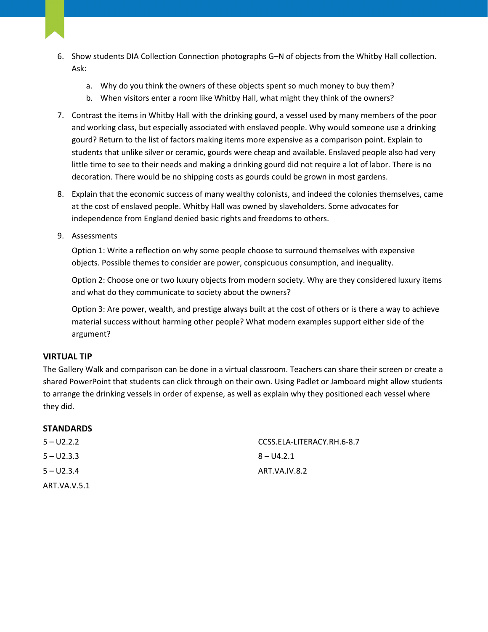- 6. Show students DIA Collection Connection photographs G–N of objects from the Whitby Hall collection. Ask:
	- a. Why do you think the owners of these objects spent so much money to buy them?
	- b. When visitors enter a room like Whitby Hall, what might they think of the owners?
- 7. Contrast the items in Whitby Hall with the drinking gourd, a vessel used by many members of the poor and working class, but especially associated with enslaved people. Why would someone use a drinking gourd? Return to the list of factors making items more expensive as a comparison point. Explain to students that unlike silver or ceramic, gourds were cheap and available. Enslaved people also had very little time to see to their needs and making a drinking gourd did not require a lot of labor. There is no decoration. There would be no shipping costs as gourds could be grown in most gardens.
- 8. Explain that the economic success of many wealthy colonists, and indeed the colonies themselves, came at the cost of enslaved people. Whitby Hall was owned by slaveholders. Some advocates for independence from England denied basic rights and freedoms to others.
- 9. Assessments

Option 1: Write a reflection on why some people choose to surround themselves with expensive objects. Possible themes to consider are power, conspicuous consumption, and inequality.

Option 2: Choose one or two luxury objects from modern society. Why are they considered luxury items and what do they communicate to society about the owners?

Option 3: Are power, wealth, and prestige always built at the cost of others or is there a way to achieve material success without harming other people? What modern examples support either side of the argument?

# **VIRTUAL TIP**

The Gallery Walk and comparison can be done in a virtual classroom. Teachers can share their screen or create a shared PowerPoint that students can click through on their own. Using Padlet or Jamboard might allow students to arrange the drinking vessels in order of expense, as well as explain why they positioned each vessel where they did.

### **STANDARDS**

| $5 - U2.2.2$ | CCSS.ELA-LITERACY.RH.6-8.7 |
|--------------|----------------------------|
| $5 - U2.3.3$ | $8 - 04.2.1$               |
| $5 - U2.3.4$ | ART.VA.IV.8.2              |
| ART.VA.V.5.1 |                            |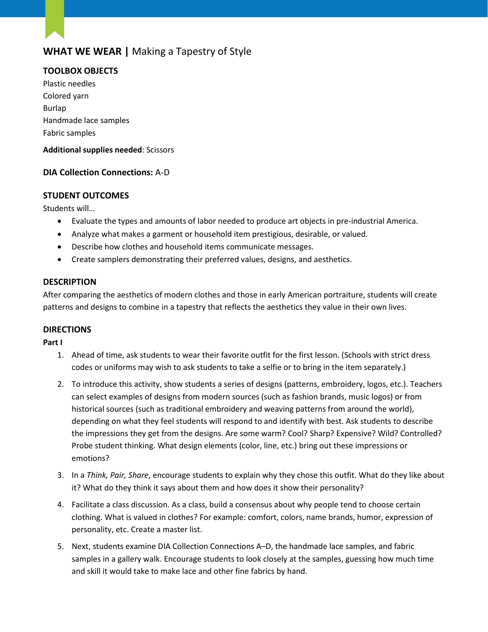# **WHAT WE WEAR |** Making a Tapestry of Style

# **TOOLBOX OBJECTS**

Plastic needles Colored yarn Burlap Handmade lace samples Fabric samples

## **Additional supplies needed**: Scissors

# **DIA Collection Connections:** A-D

# **STUDENT OUTCOMES**

Students will…

- Evaluate the types and amounts of labor needed to produce art objects in pre-industrial America.
- Analyze what makes a garment or household item prestigious, desirable, or valued.
- Describe how clothes and household items communicate messages.
- Create samplers demonstrating their preferred values, designs, and aesthetics.

### **DESCRIPTION**

After comparing the aesthetics of modern clothes and those in early American portraiture, students will create patterns and designs to combine in a tapestry that reflects the aesthetics they value in their own lives.

### **DIRECTIONS**

### **Part I**

- 1. Ahead of time, ask students to wear their favorite outfit for the first lesson. (Schools with strict dress codes or uniforms may wish to ask students to take a selfie or to bring in the item separately.)
- 2. To introduce this activity, show students a series of designs (patterns, embroidery, logos, etc.). Teachers can select examples of designs from modern sources (such as fashion brands, music logos) or from historical sources (such as traditional embroidery and weaving patterns from around the world), depending on what they feel students will respond to and identify with best. Ask students to describe the impressions they get from the designs. Are some warm? Cool? Sharp? Expensive? Wild? Controlled? Probe student thinking. What design elements (color, line, etc.) bring out these impressions or emotions?
- 3. In a *Think, Pair, Share*, encourage students to explain why they chose this outfit. What do they like about it? What do they think it says about them and how does it show their personality?
- 4. Facilitate a class discussion. As a class, build a consensus about why people tend to choose certain clothing. What is valued in clothes? For example: comfort, colors, name brands, humor, expression of personality, etc. Create a master list.
- 5. Next, students examine DIA Collection Connections A–D, the handmade lace samples, and fabric samples in a gallery walk. Encourage students to look closely at the samples, guessing how much time and skill it would take to make lace and other fine fabrics by hand.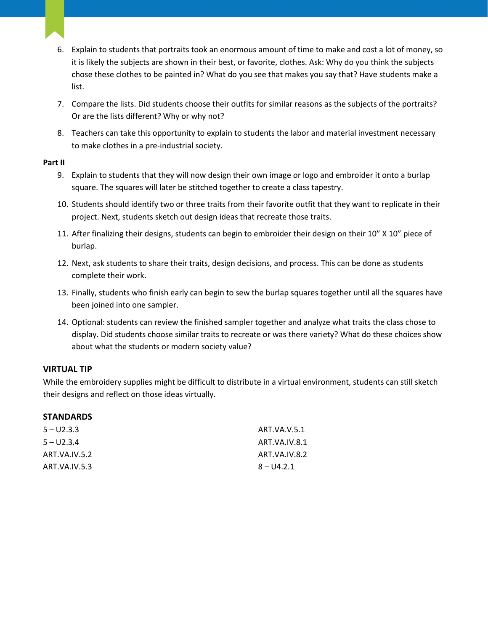- 6. Explain to students that portraits took an enormous amount of time to make and cost a lot of money, so it is likely the subjects are shown in their best, or favorite, clothes. Ask: Why do you think the subjects chose these clothes to be painted in? What do you see that makes you say that? Have students make a list.
- 7. Compare the lists. Did students choose their outfits for similar reasons as the subjects of the portraits? Or are the lists different? Why or why not?
- 8. Teachers can take this opportunity to explain to students the labor and material investment necessary to make clothes in a pre-industrial society.

### **Part II**

- 9. Explain to students that they will now design their own image or logo and embroider it onto a burlap square. The squares will later be stitched together to create a class tapestry.
- 10. Students should identify two or three traits from their favorite outfit that they want to replicate in their project. Next, students sketch out design ideas that recreate those traits.
- 11. After finalizing their designs, students can begin to embroider their design on their 10" X 10" piece of burlap.
- 12. Next, ask students to share their traits, design decisions, and process. This can be done as students complete their work.
- 13. Finally, students who finish early can begin to sew the burlap squares together until all the squares have been joined into one sampler.
- 14. Optional: students can review the finished sampler together and analyze what traits the class chose to display. Did students choose similar traits to recreate or was there variety? What do these choices show about what the students or modern society value?

### **VIRTUAL TIP**

While the embroidery supplies might be difficult to distribute in a virtual environment, students can still sketch their designs and reflect on those ideas virtually.

# **STANDARDS**

| $5 - U2.3.3$  | ART VA.V.5.1  |
|---------------|---------------|
| $5 - U2.3.4$  | ART VA.IV.8.1 |
| ART.VA.IV.5.2 | ART.VA.IV.8.2 |
| ART.VA.IV.5.3 | $8 - 114.2.1$ |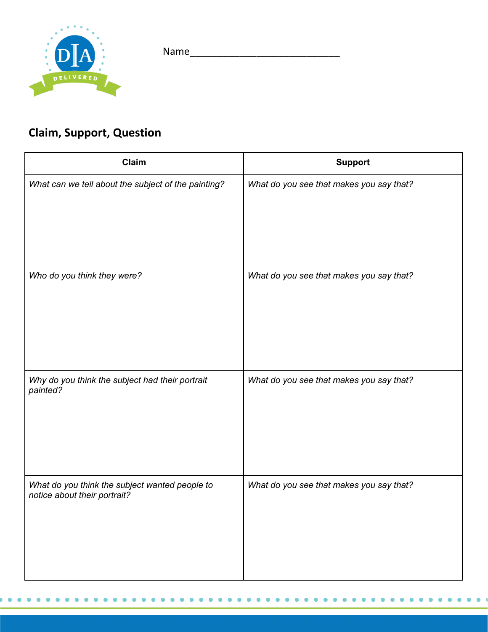



# **Claim, Support, Question**

 $\bullet$  $\bullet$  $\bullet$  $\bullet$   $\bullet$ 

| Claim                                                                          | <b>Support</b>                           |
|--------------------------------------------------------------------------------|------------------------------------------|
| What can we tell about the subject of the painting?                            | What do you see that makes you say that? |
| Who do you think they were?                                                    | What do you see that makes you say that? |
| Why do you think the subject had their portrait<br>painted?                    | What do you see that makes you say that? |
| What do you think the subject wanted people to<br>notice about their portrait? | What do you see that makes you say that? |

 $\bullet$